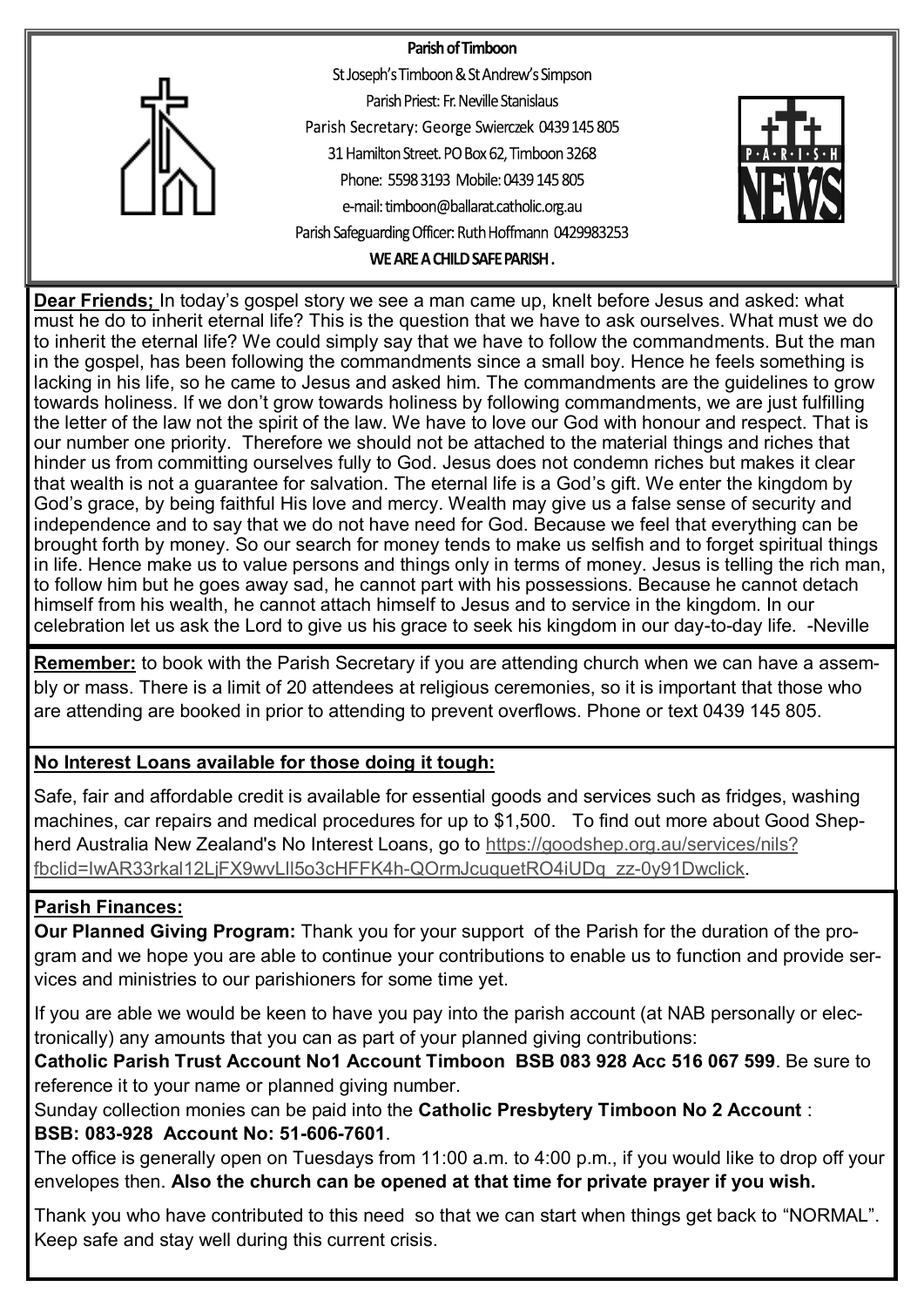

**Dear Friends;** In today's gospel story we see a man came up, knelt before Jesus and asked: what must he do to inherit eternal life? This is the question that we have to ask ourselves. What must we do to inherit the eternal life? We could simply say that we have to follow the commandments. But the man in the gospel, has been following the commandments since a small boy. Hence he feels something is lacking in his life, so he came to Jesus and asked him. The commandments are the guidelines to grow towards holiness. If we don't grow towards holiness by following commandments, we are just fulfilling the letter of the law not the spirit of the law. We have to love our God with honour and respect. That is our number one priority. Therefore we should not be attached to the material things and riches that hinder us from committing ourselves fully to God. Jesus does not condemn riches but makes it clear that wealth is not a guarantee for salvation. The eternal life is a God's gift. We enter the kingdom by God's grace, by being faithful His love and mercy. Wealth may give us a false sense of security and independence and to say that we do not have need for God. Because we feel that everything can be brought forth by money. So our search for money tends to make us selfish and to forget spiritual things in life. Hence make us to value persons and things only in terms of money. Jesus is telling the rich man, to follow him but he goes away sad, he cannot part with his possessions. Because he cannot detach himself from his wealth, he cannot attach himself to Jesus and to service in the kingdom. In our celebration let us ask the Lord to give us his grace to seek his kingdom in our day-to-day life. -Neville

**Remember:** to book with the Parish Secretary if you are attending church when we can have a assembly or mass. There is a limit of 20 attendees at religious ceremonies, so it is important that those who are attending are booked in prior to attending to prevent overflows. Phone or text 0439 145 805.

# **No Interest Loans available for those doing it tough:**

Safe, fair and affordable credit is available for essential goods and services such as fridges, washing machines, car repairs and medical procedures for up to \$1,500. To find out more about Good Shepherd Australia New Zealand's No Interest Loans, go to [https://goodshep.org.au/services/nils?](https://goodshep.org.au/services/nils?fbclid=IwAR33rkal12LjFX9wvLll5o3cHFFK4h-QOrmJcuquetRO4iUDq_zz-0y91Dwclick) [fbclid=IwAR33rkal12LjFX9wvLll5o3cHFFK4h](https://goodshep.org.au/services/nils?fbclid=IwAR33rkal12LjFX9wvLll5o3cHFFK4h-QOrmJcuquetRO4iUDq_zz-0y91Dwclick)-QOrmJcuquetRO4iUDq\_zz-0y91Dwclick.

# **Parish Finances:**

**Our Planned Giving Program:** Thank you for your support of the Parish for the duration of the program and we hope you are able to continue your contributions to enable us to function and provide services and ministries to our parishioners for some time yet.

If you are able we would be keen to have you pay into the parish account (at NAB personally or electronically) any amounts that you can as part of your planned giving contributions:

**Catholic Parish Trust Account No1 Account Timboon BSB 083 928 Acc 516 067 599**. Be sure to reference it to your name or planned giving number.

Sunday collection monies can be paid into the **Catholic Presbytery Timboon No 2 Account** : **BSB: 083-928 Account No: 51-606-7601**.

The office is generally open on Tuesdays from 11:00 a.m. to 4:00 p.m., if you would like to drop off your envelopes then. **Also the church can be opened at that time for private prayer if you wish.**

Thank you who have contributed to this need so that we can start when things get back to "NORMAL". Keep safe and stay well during this current crisis.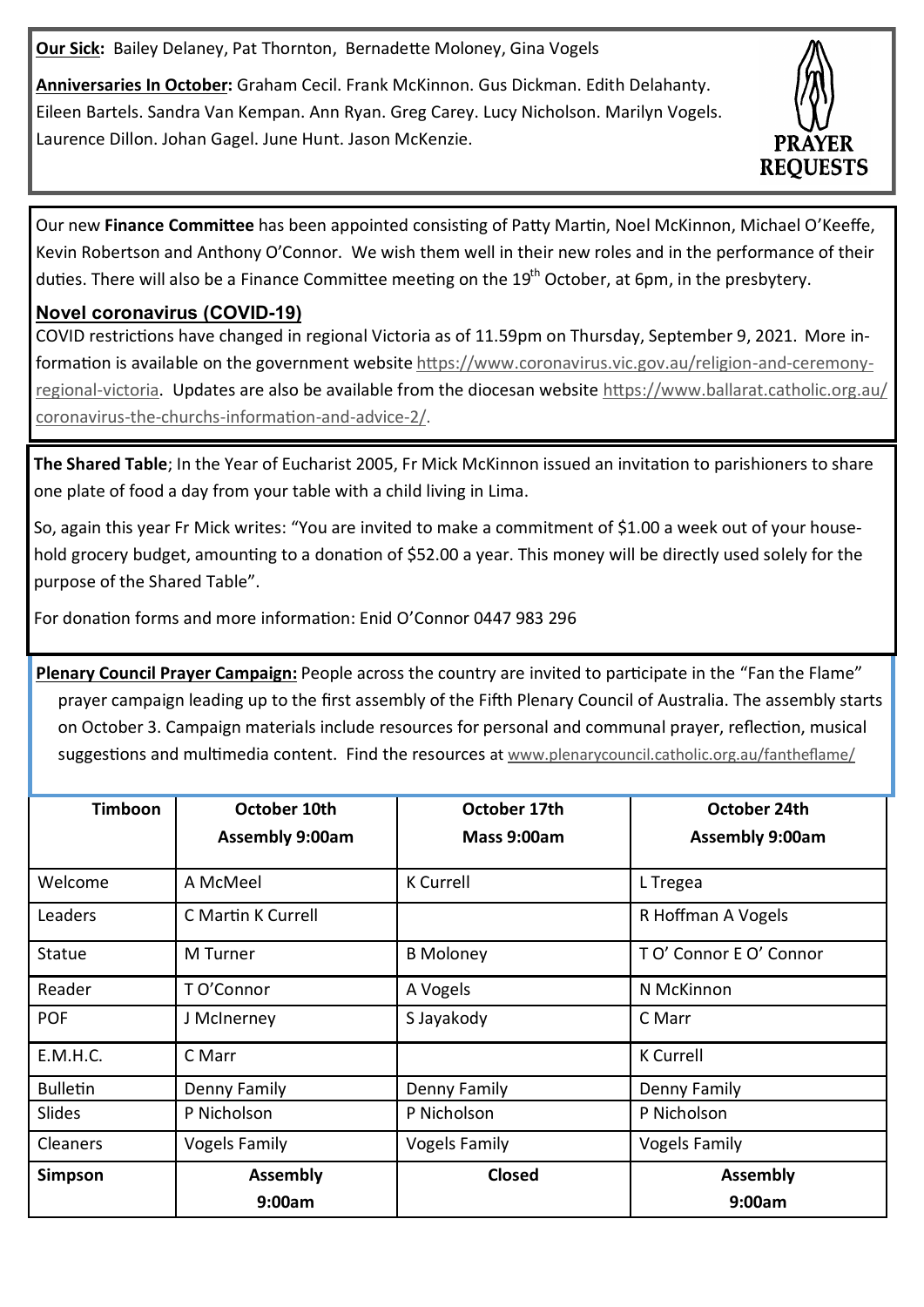**Our Sick:** Bailey Delaney, Pat Thornton, Bernadette Moloney, Gina Vogels

**Anniversaries In October:** Graham Cecil. Frank McKinnon. Gus Dickman. Edith Delahanty. Eileen Bartels. Sandra Van Kempan. Ann Ryan. Greg Carey. Lucy Nicholson. Marilyn Vogels. Laurence Dillon. Johan Gagel. June Hunt. Jason McKenzie.



Our new **Finance Committee** has been appointed consisting of Patty Martin, Noel McKinnon, Michael O'Keeffe, Kevin Robertson and Anthony O'Connor. We wish them well in their new roles and in the performance of their duties. There will also be a Finance Committee meeting on the 19<sup>th</sup> October, at 6pm, in the presbytery.

## **Novel coronavirus (COVID-19)**

COVID restrictions have changed in regional Victoria as of 11.59pm on Thursday, September 9, 2021. More information is available on the government website [https://www.coronavirus.vic.gov.au/religion](https://www.coronavirus.vic.gov.au/religion-and-ceremony-regional-victoria)-and-ceremony[regional](https://www.coronavirus.vic.gov.au/religion-and-ceremony-regional-victoria)-victoria. Updates are also be available from the diocesan website [https://www.ballarat.catholic.org.au/](https://www.ballarat.catholic.org.au/coronavirus-the-churchs-information-and-advice-2/) coronavirus-the-churchs-[information](https://www.ballarat.catholic.org.au/coronavirus-the-churchs-information-and-advice-2/)-and-advice-2/.

**The Shared Table**; In the Year of Eucharist 2005, Fr Mick McKinnon issued an invitation to parishioners to share one plate of food a day from your table with a child living in Lima.

So, again this year Fr Mick writes: "You are invited to make a commitment of \$1.00 a week out of your household grocery budget, amounting to a donation of \$52.00 a year. This money will be directly used solely for the purpose of the Shared Table".

For donation forms and more information: Enid O'Connor 0447 983 296

**Plenary Council Prayer Campaign:** People across the country are invited to participate in the "Fan the Flame" prayer campaign leading up to the first assembly of the Fifth Plenary Council of Australia. The assembly starts on October 3. Campaign materials include resources for personal and communal prayer, reflection, musical suggestions and multimedia content. Find the resources at [www.plenarycouncil.catholic.org.au/fantheflame/](http://www.plenarycouncil.catholic.org.au/fantheflame/)

| Timboon         | October 10th           | October 17th         | October 24th           |
|-----------------|------------------------|----------------------|------------------------|
|                 | <b>Assembly 9:00am</b> | Mass 9:00am          | <b>Assembly 9:00am</b> |
|                 |                        |                      |                        |
| Welcome         | A McMeel               | <b>K</b> Currell     | L Tregea               |
| Leaders         | C Martin K Currell     |                      | R Hoffman A Vogels     |
| <b>Statue</b>   | M Turner               | <b>B</b> Moloney     | TO' Connor EO' Connor  |
| Reader          | T O'Connor             | A Vogels             | N McKinnon             |
| <b>POF</b>      | J McInerney            | S Jayakody           | C Marr                 |
| E.M.H.C.        | C Marr                 |                      | <b>K</b> Currell       |
| <b>Bulletin</b> | Denny Family           | Denny Family         | Denny Family           |
| Slides          | P Nicholson            | P Nicholson          | P Nicholson            |
| Cleaners        | <b>Vogels Family</b>   | <b>Vogels Family</b> | <b>Vogels Family</b>   |
| Simpson         | <b>Assembly</b>        | Closed               | <b>Assembly</b>        |
|                 | 9:00am                 |                      | 9:00am                 |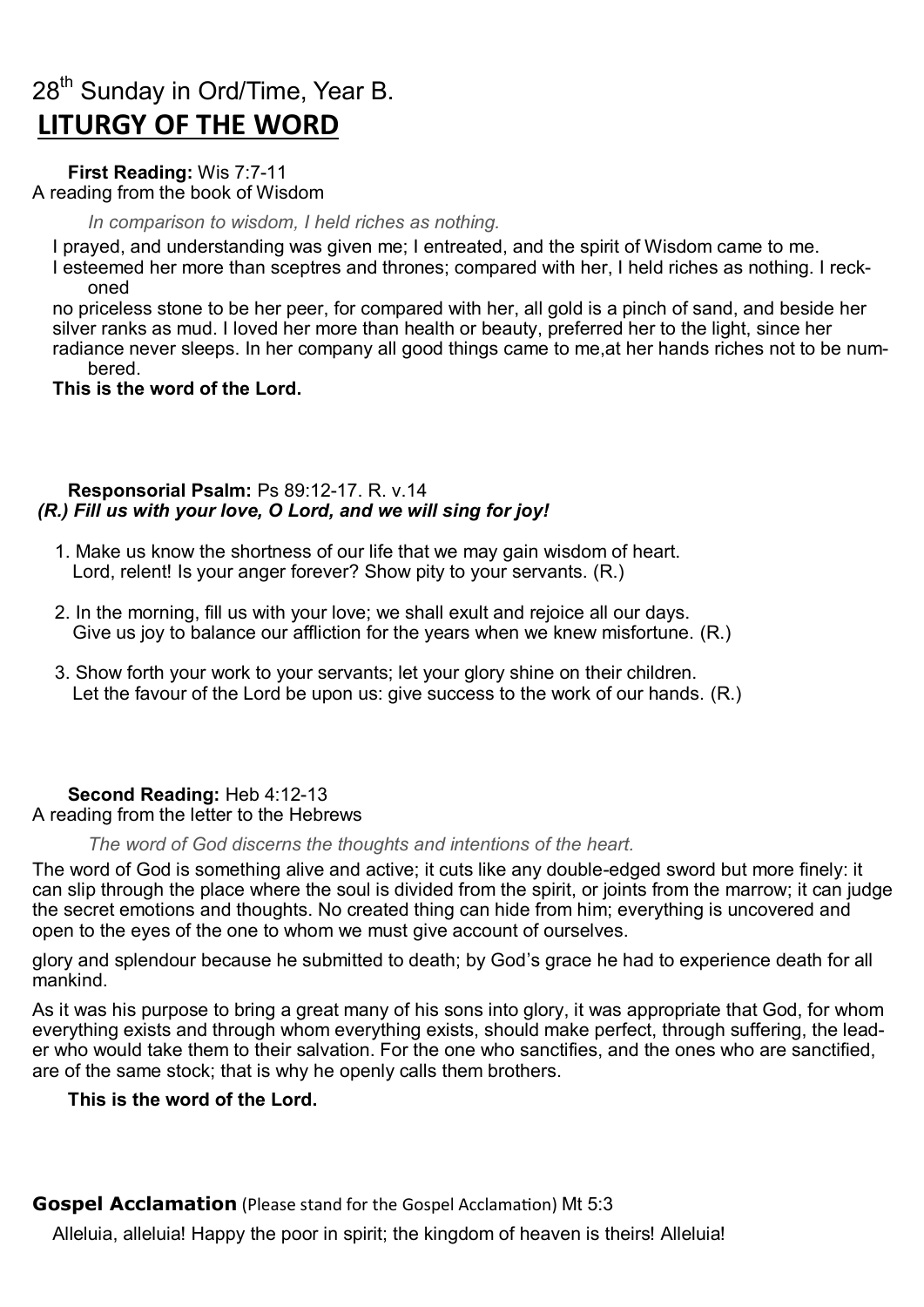# $28<sup>th</sup>$  Sunday in Ord/Time, Year B. **LITURGY OF THE WORD**

**First Reading:** [Wis 7:7](https://liturgyhelp.com/ritual/lectionary/LectionaryList%7Cwis#wis007)-11 A reading from the book of Wisdom

*In comparison to wisdom, I held riches as nothing.*

I prayed, and understanding was given me; I entreated, and the spirit of Wisdom came to me. I esteemed her more than sceptres and thrones; compared with her, I held riches as nothing. I reckoned

no priceless stone to be her peer, for compared with her, all gold is a pinch of sand, and beside her silver ranks as mud. I loved her more than health or beauty, preferred her to the light, since her radiance never sleeps. In her company all good things came to me,at her hands riches not to be numbered.

### **This is the word of the Lord.**

#### **Responsorial Psalm:** Ps 89:12-[17. R. v.14](https://liturgyhelp.com/ritual/lectionary/LectionaryListPsalm%7Cpsm) *(R.) Fill us with your love, O Lord, and we will sing for joy!*

- 1. Make us know the shortness of our life that we may gain wisdom of heart. Lord, relent! Is your anger forever? Show pity to your servants. (R.)
- 2. In the morning, fill us with your love; we shall exult and rejoice all our days. Give us joy to balance our affliction for the years when we knew misfortune. (R.)
- 3. Show forth your work to your servants; let your glory shine on their children. Let the favour of the Lord be upon us: give success to the work of our hands. (R.)

# **Second Reading:** [Heb 4:12](https://liturgyhelp.com/ritual/lectionary/LectionaryList%7Cheb#heb004)-13

#### A reading from the letter to the Hebrews

*The word of God discerns the thoughts and intentions of the heart.*

The word of God is something alive and active; it cuts like any double-edged sword but more finely: it can slip through the place where the soul is divided from the spirit, or joints from the marrow; it can judge the secret emotions and thoughts. No created thing can hide from him; everything is uncovered and open to the eyes of the one to whom we must give account of ourselves.

glory and splendour because he submitted to death; by God's grace he had to experience death for all mankind.

As it was his purpose to bring a great many of his sons into glory, it was appropriate that God, for whom everything exists and through whom everything exists, should make perfect, through suffering, the leader who would take them to their salvation. For the one who sanctifies, and the ones who are sanctified, are of the same stock; that is why he openly calls them brothers.

#### **This is the word of the Lord.**

**Gospel Acclamation** (Please stand for the Gospel Acclamation) [Mt 5:3](https://liturgyhelp.com/ritual/lectionary/LectionaryListGosAc%7Cmtw#mtw005)

Alleluia, alleluia! Happy the poor in spirit; the kingdom of heaven is theirs! Alleluia!